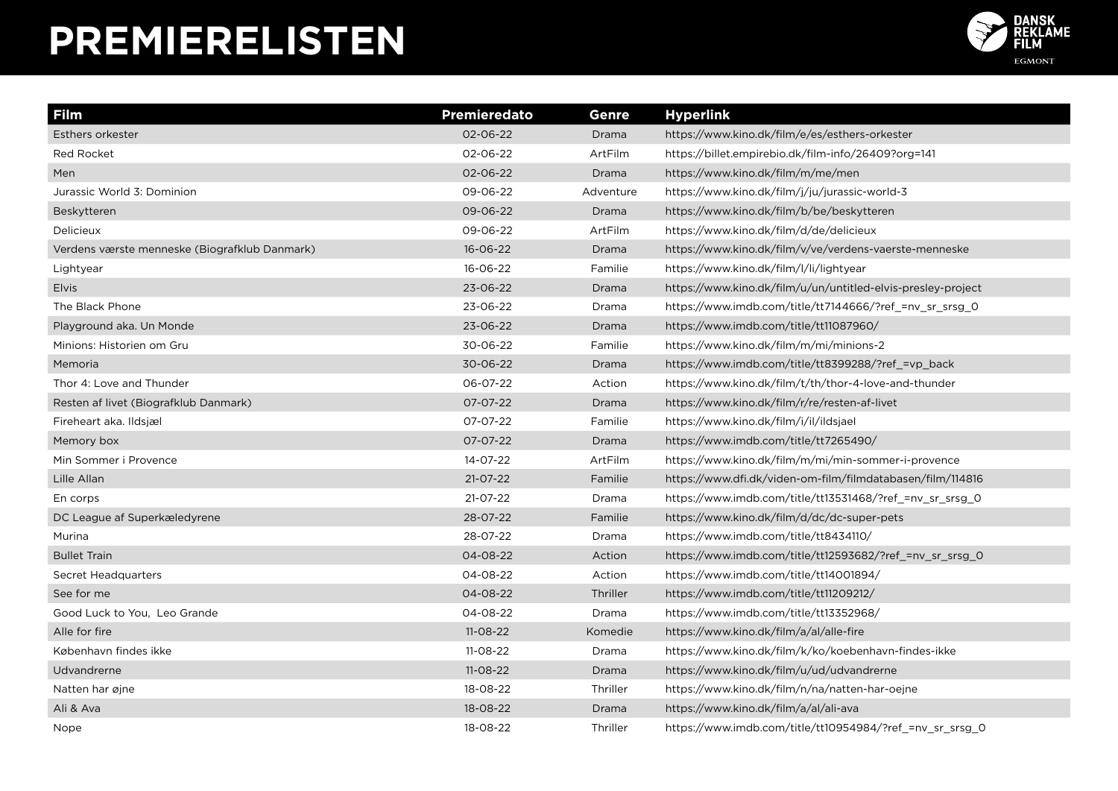

| Film                                          | <b>Premieredato</b> | <b>Genre</b> | <b>Hyperlink</b>                                             |
|-----------------------------------------------|---------------------|--------------|--------------------------------------------------------------|
| Esthers orkester                              | 02-06-22            | Drama        | https://www.kino.dk/film/e/es/esthers-orkester               |
| <b>Red Rocket</b>                             | 02-06-22            | ArtFilm      | https://billet.empirebio.dk/film-info/26409?org=141          |
| Men                                           | 02-06-22            | Drama        | https://www.kino.dk/film/m/me/men                            |
| Jurassic World 3: Dominion                    | 09-06-22            | Adventure    | https://www.kino.dk/film/j/ju/jurassic-world-3               |
| Beskytteren                                   | 09-06-22            | Drama        | https://www.kino.dk/film/b/be/beskytteren                    |
| Delicieux                                     | 09-06-22            | ArtFilm      | https://www.kino.dk/film/d/de/delicieux                      |
| Verdens værste menneske (Biografklub Danmark) | 16-06-22            | Drama        | https://www.kino.dk/film/v/ve/verdens-vaerste-menneske       |
| Lightyear                                     | 16-06-22            | Familie      | https://www.kino.dk/film/l/li/lightyear                      |
| Elvis                                         | 23-06-22            | Drama        | https://www.kino.dk/film/u/un/untitled-elvis-presley-project |
| The Black Phone                               | 23-06-22            | Drama        | https://www.imdb.com/title/tt7144666/?ref =nv sr srsg 0      |
| Playground aka. Un Monde                      | 23-06-22            | Drama        | https://www.imdb.com/title/tt11087960/                       |
| Minions: Historien om Gru                     | 30-06-22            | Familie      | https://www.kino.dk/film/m/mi/minions-2                      |
| Memoria                                       | 30-06-22            | Drama        | https://www.imdb.com/title/tt8399288/?ref =vp back           |
| Thor 4: Love and Thunder                      | 06-07-22            | Action       | https://www.kino.dk/film/t/th/thor-4-love-and-thunder        |
| Resten af livet (Biografklub Danmark)         | 07-07-22            | Drama        | https://www.kino.dk/film/r/re/resten-af-livet                |
| Fireheart aka. Ildsjæl                        | 07-07-22            | Familie      | https://www.kino.dk/film/i/il/ildsjael                       |
| Memory box                                    | 07-07-22            | Drama        | https://www.imdb.com/title/tt7265490/                        |
| Min Sommer i Provence                         | 14-07-22            | ArtFilm      | https://www.kino.dk/film/m/mi/min-sommer-i-provence          |
| Lille Allan                                   | $21 - 07 - 22$      | Familie      | https://www.dfi.dk/viden-om-film/filmdatabasen/film/114816   |
| En corps                                      | $21 - 07 - 22$      | Drama        | https://www.imdb.com/title/tt13531468/?ref =nv sr srsg 0     |
| DC League af Superkæledyrene                  | 28-07-22            | Familie      | https://www.kino.dk/film/d/dc/dc-super-pets                  |
| Murina                                        | 28-07-22            | Drama        | https://www.imdb.com/title/tt8434110/                        |
| <b>Bullet Train</b>                           | 04-08-22            | Action       | https://www.imdb.com/title/tt12593682/?ref =nv sr srsg 0     |
| Secret Headquarters                           | 04-08-22            | Action       | https://www.imdb.com/title/tt14001894/                       |
| See for me                                    | 04-08-22            | Thriller     | https://www.imdb.com/title/tt11209212/                       |
| Good Luck to You, Leo Grande                  | 04-08-22            | Drama        | https://www.imdb.com/title/tt13352968/                       |
| Alle for fire                                 | $11-08-22$          | Komedie      | https://www.kino.dk/film/a/al/alle-fire                      |
| København findes ikke                         | $11-08-22$          | Drama        | https://www.kino.dk/film/k/ko/koebenhavn-findes-ikke         |
| Udvandrerne                                   | $11 - 08 - 22$      | Drama        | https://www.kino.dk/film/u/ud/udvandrerne                    |
| Natten har øjne                               | 18-08-22            | Thriller     | https://www.kino.dk/film/n/na/natten-har-oejne               |
| Ali & Ava                                     | 18-08-22            | Drama        | https://www.kino.dk/film/a/al/ali-ava                        |
| Nope                                          | 18-08-22            | Thriller     | https://www.imdb.com/title/tt10954984/?ref =nv sr srsg 0     |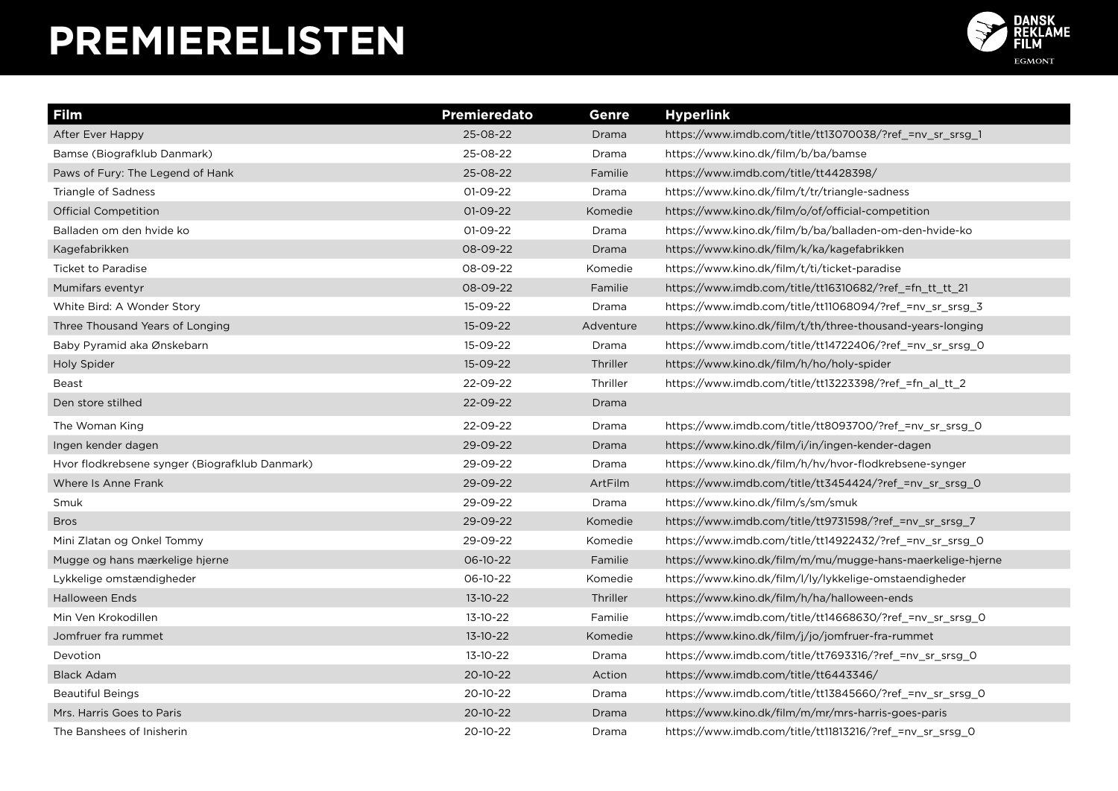

| <b>Film</b>                                    | <b>Premieredato</b> | Genre     | <b>Hyperlink</b>                                           |
|------------------------------------------------|---------------------|-----------|------------------------------------------------------------|
| After Ever Happy                               | 25-08-22            | Drama     | https://www.imdb.com/title/tt13070038/?ref =nv sr srsg 1   |
| Bamse (Biografklub Danmark)                    | 25-08-22            | Drama     | https://www.kino.dk/film/b/ba/bamse                        |
| Paws of Fury: The Legend of Hank               | 25-08-22            | Familie   | https://www.imdb.com/title/tt4428398/                      |
| Triangle of Sadness                            | 01-09-22            | Drama     | https://www.kino.dk/film/t/tr/triangle-sadness             |
| <b>Official Competition</b>                    | 01-09-22            | Komedie   | https://www.kino.dk/film/o/of/official-competition         |
| Balladen om den hvide ko                       | 01-09-22            | Drama     | https://www.kino.dk/film/b/ba/balladen-om-den-hvide-ko     |
| Kagefabrikken                                  | 08-09-22            | Drama     | https://www.kino.dk/film/k/ka/kagefabrikken                |
| <b>Ticket to Paradise</b>                      | 08-09-22            | Komedie   | https://www.kino.dk/film/t/ti/ticket-paradise              |
| Mumifars eventyr                               | 08-09-22            | Familie   | https://www.imdb.com/title/tt16310682/?ref = fn tt tt 21   |
| White Bird: A Wonder Story                     | 15-09-22            | Drama     | https://www.imdb.com/title/tt11068094/?ref =nv sr srsg 3   |
| Three Thousand Years of Longing                | 15-09-22            | Adventure | https://www.kino.dk/film/t/th/three-thousand-years-longing |
| Baby Pyramid aka Ønskebarn                     | 15-09-22            | Drama     | https://www.imdb.com/title/tt14722406/?ref_=nv_sr_srsg_0   |
| Holy Spider                                    | 15-09-22            | Thriller  | https://www.kino.dk/film/h/ho/holy-spider                  |
| <b>Beast</b>                                   | 22-09-22            | Thriller  | https://www.imdb.com/title/tt13223398/?ref_=fn_al_tt_2     |
| Den store stilhed                              | 22-09-22            | Drama     |                                                            |
| The Woman King                                 | 22-09-22            | Drama     | https://www.imdb.com/title/tt8093700/?ref =nv sr srsg 0    |
| Ingen kender dagen                             | 29-09-22            | Drama     | https://www.kino.dk/film/i/in/ingen-kender-dagen           |
| Hvor flodkrebsene synger (Biografklub Danmark) | 29-09-22            | Drama     | https://www.kino.dk/film/h/hv/hvor-flodkrebsene-synger     |
| Where Is Anne Frank                            | 29-09-22            | ArtFilm   | https://www.imdb.com/title/tt3454424/?ref =nv sr srsg 0    |
| Smuk                                           | 29-09-22            | Drama     | https://www.kino.dk/film/s/sm/smuk                         |
| <b>Bros</b>                                    | 29-09-22            | Komedie   | https://www.imdb.com/title/tt9731598/?ref_=nv_sr_srsg_7    |
| Mini Zlatan og Onkel Tommy                     | 29-09-22            | Komedie   | https://www.imdb.com/title/tt14922432/?ref_=nv_sr_srsg_0   |
| Mugge og hans mærkelige hjerne                 | 06-10-22            | Familie   | https://www.kino.dk/film/m/mu/mugge-hans-maerkelige-hierne |
| Lykkelige omstændigheder                       | 06-10-22            | Komedie   | https://www.kino.dk/film/l/ly/lykkelige-omstaendigheder    |
| <b>Halloween Ends</b>                          | 13-10-22            | Thriller  | https://www.kino.dk/film/h/ha/halloween-ends               |
| Min Ven Krokodillen                            | 13-10-22            | Familie   | https://www.imdb.com/title/tt14668630/?ref_=nv_sr_srsg_0   |
| Jomfruer fra rummet                            | 13-10-22            | Komedie   | https://www.kino.dk/film/j/jo/jomfruer-fra-rummet          |
| Devotion                                       | 13-10-22            | Drama     | https://www.imdb.com/title/tt7693316/?ref =nv sr srsg 0    |
| <b>Black Adam</b>                              | 20-10-22            | Action    | https://www.imdb.com/title/tt6443346/                      |
| <b>Beautiful Beings</b>                        | 20-10-22            | Drama     | https://www.imdb.com/title/tt13845660/?ref =nv sr srsg 0   |
| Mrs. Harris Goes to Paris                      | $20 - 10 - 22$      | Drama     | https://www.kino.dk/film/m/mr/mrs-harris-goes-paris        |
| The Banshees of Inisherin                      | 20-10-22            | Drama     | https://www.imdb.com/title/tt11813216/?ref =nv sr srsg 0   |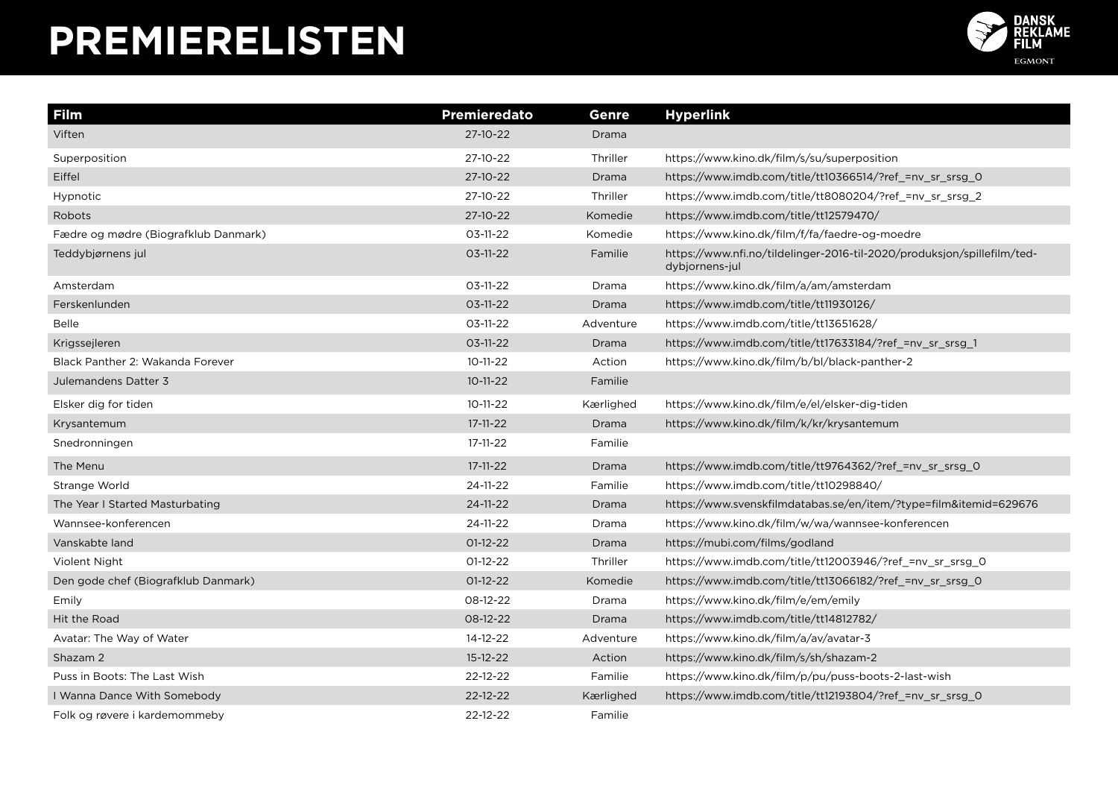

| <b>Film</b>                          | Premieredato   | Genre     | <b>Hyperlink</b>                                                                          |
|--------------------------------------|----------------|-----------|-------------------------------------------------------------------------------------------|
| Viften                               | 27-10-22       | Drama     |                                                                                           |
| Superposition                        | 27-10-22       | Thriller  | https://www.kino.dk/film/s/su/superposition                                               |
| Eiffel                               | 27-10-22       | Drama     | https://www.imdb.com/title/tt10366514/?ref_=nv_sr_srsg_0                                  |
| Hypnotic                             | 27-10-22       | Thriller  | https://www.imdb.com/title/tt8080204/?ref_=nv_sr_srsg_2                                   |
| Robots                               | 27-10-22       | Komedie   | https://www.imdb.com/title/tt12579470/                                                    |
| Fædre og mødre (Biografklub Danmark) | $03-11-22$     | Komedie   | https://www.kino.dk/film/f/fa/faedre-og-moedre                                            |
| Teddybjørnens jul                    | $03-11-22$     | Familie   | https://www.nfi.no/tildelinger-2016-til-2020/produksjon/spillefilm/ted-<br>dybjornens-jul |
| Amsterdam                            | $03-11-22$     | Drama     | https://www.kino.dk/film/a/am/amsterdam                                                   |
| Ferskenlunden                        | $03-11-22$     | Drama     | https://www.imdb.com/title/tt11930126/                                                    |
| <b>Belle</b>                         | $03-11-22$     | Adventure | https://www.imdb.com/title/tt13651628/                                                    |
| Krigssejleren                        | $03-11-22$     | Drama     | https://www.imdb.com/title/tt17633184/?ref_=nv_sr_srsg_1                                  |
| Black Panther 2: Wakanda Forever     | $10 - 11 - 22$ | Action    | https://www.kino.dk/film/b/bl/black-panther-2                                             |
| Julemandens Datter 3                 | $10 - 11 - 22$ | Familie   |                                                                                           |
| Elsker dig for tiden                 | $10 - 11 - 22$ | Kærlighed | https://www.kino.dk/film/e/el/elsker-dig-tiden                                            |
| Krysantemum                          | 17-11-22       | Drama     | https://www.kino.dk/film/k/kr/krysantemum                                                 |
| Snedronningen                        | 17-11-22       | Familie   |                                                                                           |
| The Menu                             | $17 - 11 - 22$ | Drama     | https://www.imdb.com/title/tt9764362/?ref_=nv_sr_srsg_0                                   |
| Strange World                        | 24-11-22       | Familie   | https://www.imdb.com/title/tt10298840/                                                    |
| The Year I Started Masturbating      | $24 - 11 - 22$ | Drama     | https://www.svenskfilmdatabas.se/en/item/?type=film&itemid=629676                         |
| Wannsee-konferencen                  | 24-11-22       | Drama     | https://www.kino.dk/film/w/wa/wannsee-konferencen                                         |
| Vanskabte land                       | $01-12-22$     | Drama     | https://mubi.com/films/godland                                                            |
| Violent Night                        | $01-12-22$     | Thriller  | https://www.imdb.com/title/tt12003946/?ref_=nv_sr_srsg_0                                  |
| Den gode chef (Biografklub Danmark)  | $01-12-22$     | Komedie   | https://www.imdb.com/title/tt13066182/?ref_=nv_sr_srsg_0                                  |
| Emily                                | 08-12-22       | Drama     | https://www.kino.dk/film/e/em/emily                                                       |
| Hit the Road                         | 08-12-22       | Drama     | https://www.imdb.com/title/tt14812782/                                                    |
| Avatar: The Way of Water             | 14-12-22       | Adventure | https://www.kino.dk/film/a/av/avatar-3                                                    |
| Shazam 2                             | $15 - 12 - 22$ | Action    | https://www.kino.dk/film/s/sh/shazam-2                                                    |
| Puss in Boots: The Last Wish         | 22-12-22       | Familie   | https://www.kino.dk/film/p/pu/puss-boots-2-last-wish                                      |
| I Wanna Dance With Somebody          | 22-12-22       | Kærlighed | https://www.imdb.com/title/tt12193804/?ref_=nv_sr_srsg_0                                  |
| Folk og røvere i kardemommeby        | 22-12-22       | Familie   |                                                                                           |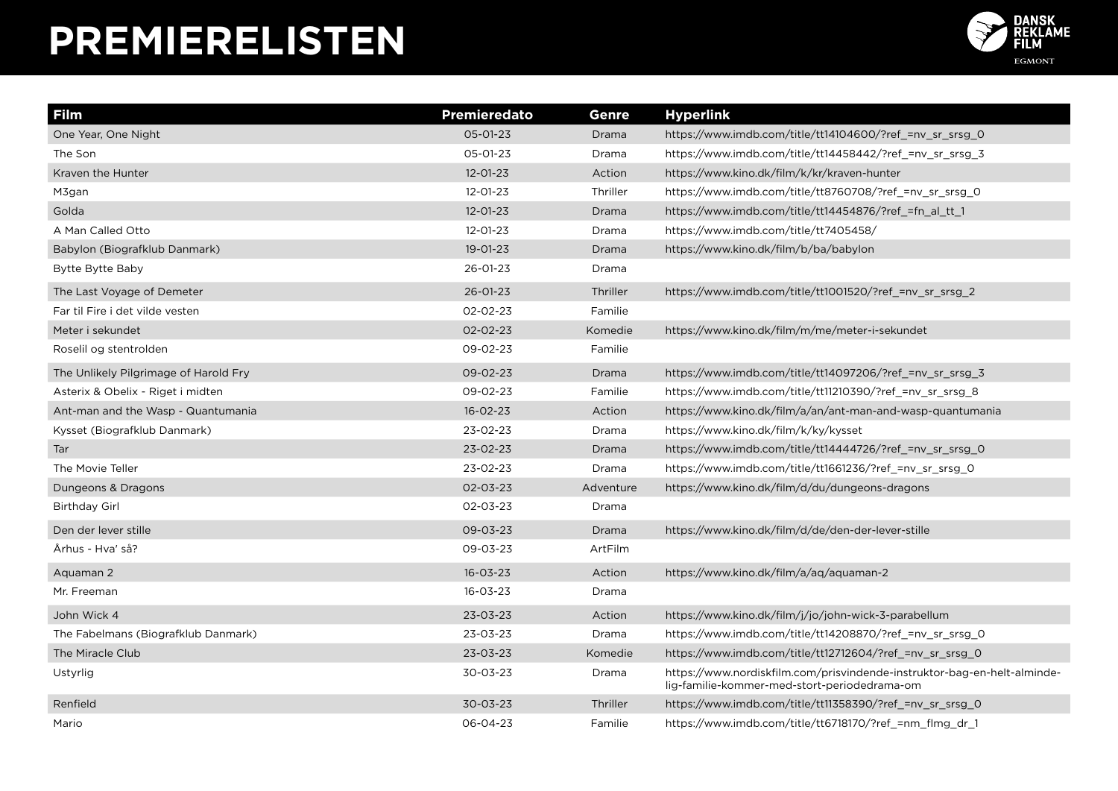

| <b>Film</b>                           | Premieredato   | <b>Genre</b> | <b>Hyperlink</b>                                                                                                         |
|---------------------------------------|----------------|--------------|--------------------------------------------------------------------------------------------------------------------------|
| One Year, One Night                   | 05-01-23       | Drama        | https://www.imdb.com/title/tt14104600/?ref_=nv_sr_srsg_0                                                                 |
| The Son                               | 05-01-23       | Drama        | https://www.imdb.com/title/tt14458442/?ref_=nv_sr_srsg_3                                                                 |
| Kraven the Hunter                     | $12 - 01 - 23$ | Action       | https://www.kino.dk/film/k/kr/kraven-hunter                                                                              |
| M3gan                                 | 12-01-23       | Thriller     | https://www.imdb.com/title/tt8760708/?ref =nv sr srsg 0                                                                  |
| Golda                                 | $12 - 01 - 23$ | Drama        | https://www.imdb.com/title/tt14454876/?ref_=fn_al_tt_1                                                                   |
| A Man Called Otto                     | $12 - 01 - 23$ | Drama        | https://www.imdb.com/title/tt7405458/                                                                                    |
| Babylon (Biografklub Danmark)         | 19-01-23       | Drama        | https://www.kino.dk/film/b/ba/babylon                                                                                    |
| Bytte Bytte Baby                      | 26-01-23       | Drama        |                                                                                                                          |
| The Last Voyage of Demeter            | 26-01-23       | Thriller     | https://www.imdb.com/title/tt1001520/?ref_=nv_sr_srsg_2                                                                  |
| Far til Fire i det vilde vesten       | 02-02-23       | Familie      |                                                                                                                          |
| Meter i sekundet                      | 02-02-23       | Komedie      | https://www.kino.dk/film/m/me/meter-i-sekundet                                                                           |
| Roselil og stentrolden                | 09-02-23       | Familie      |                                                                                                                          |
| The Unlikely Pilgrimage of Harold Fry | 09-02-23       | Drama        | https://www.imdb.com/title/tt14097206/?ref =nv sr srsg 3                                                                 |
| Asterix & Obelix - Riget i midten     | 09-02-23       | Familie      | https://www.imdb.com/title/tt11210390/?ref =nv sr srsg 8                                                                 |
| Ant-man and the Wasp - Quantumania    | $16 - 02 - 23$ | Action       | https://www.kino.dk/film/a/an/ant-man-and-wasp-quantumania                                                               |
| Kysset (Biografklub Danmark)          | 23-02-23       | Drama        | https://www.kino.dk/film/k/ky/kysset                                                                                     |
| Tar                                   | $23 - 02 - 23$ | Drama        | https://www.imdb.com/title/tt14444726/?ref =nv sr srsg 0                                                                 |
| The Movie Teller                      | 23-02-23       | Drama        | https://www.imdb.com/title/tt1661236/?ref =nv sr srsg 0                                                                  |
| Dungeons & Dragons                    | 02-03-23       | Adventure    | https://www.kino.dk/film/d/du/dungeons-dragons                                                                           |
| <b>Birthday Girl</b>                  | 02-03-23       | Drama        |                                                                                                                          |
| Den der lever stille                  | 09-03-23       | Drama        | https://www.kino.dk/film/d/de/den-der-lever-stille                                                                       |
| Århus - Hva' så?                      | 09-03-23       | ArtFilm      |                                                                                                                          |
| Aquaman 2                             | $16 - 03 - 23$ | Action       | https://www.kino.dk/film/a/aq/aquaman-2                                                                                  |
| Mr. Freeman                           | 16-03-23       | Drama        |                                                                                                                          |
| John Wick 4                           | 23-03-23       | Action       | https://www.kino.dk/film/j/jo/john-wick-3-parabellum                                                                     |
| The Fabelmans (Biografklub Danmark)   | $23 - 03 - 23$ | Drama        | https://www.imdb.com/title/tt14208870/?ref =nv sr srsg 0                                                                 |
| The Miracle Club                      | 23-03-23       | Komedie      | https://www.imdb.com/title/tt12712604/?ref_=nv_sr_srsg_0                                                                 |
| Ustyrlig                              | 30-03-23       | Drama        | https://www.nordiskfilm.com/prisvindende-instruktor-bag-en-helt-alminde-<br>lig-familie-kommer-med-stort-periodedrama-om |
| Renfield                              | $30 - 03 - 23$ | Thriller     | https://www.imdb.com/title/tt11358390/?ref_=nv_sr_srsg_0                                                                 |
| Mario                                 | 06-04-23       | Familie      | https://www.imdb.com/title/tt6718170/?ref_=nm_flmg_dr_1                                                                  |